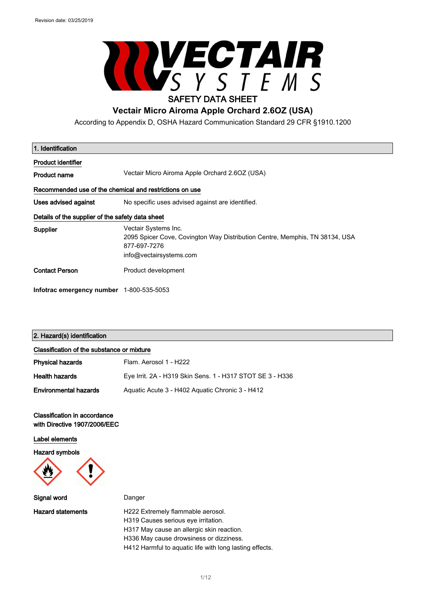

According to Appendix D, OSHA Hazard Communication Standard 29 CFR §1910.1200

| 1. Identification                                       |                                                                                                                                                |  |
|---------------------------------------------------------|------------------------------------------------------------------------------------------------------------------------------------------------|--|
| <b>Product identifier</b>                               |                                                                                                                                                |  |
| <b>Product name</b>                                     | Vectair Micro Airoma Apple Orchard 2.6OZ (USA)                                                                                                 |  |
| Recommended use of the chemical and restrictions on use |                                                                                                                                                |  |
| Uses advised against                                    | No specific uses advised against are identified.                                                                                               |  |
| Details of the supplier of the safety data sheet        |                                                                                                                                                |  |
| Supplier                                                | Vectair Systems Inc.<br>2095 Spicer Cove, Covington Way Distribution Centre, Memphis, TN 38134, USA<br>877-697-7276<br>info@vectairsystems.com |  |
| <b>Contact Person</b>                                   | Product development                                                                                                                            |  |
| Infotrac emergency number 1-800-535-5053                |                                                                                                                                                |  |

## 2. Hazard(s) identification

| Classification of the substance or mixture |                                                           |  |
|--------------------------------------------|-----------------------------------------------------------|--|
| <b>Physical hazards</b>                    | Flam. Aerosol 1 - H222                                    |  |
| <b>Health hazards</b>                      | Eye Irrit. 2A - H319 Skin Sens. 1 - H317 STOT SE 3 - H336 |  |
| <b>Environmental hazards</b>               | Aguatic Acute 3 - H402 Aguatic Chronic 3 - H412           |  |

### Classification in accordance with Directive 1907/2006/EEC

Label elements

Hazard symbols



Signal word Danger

Hazard statements **H222 Extremely flammable aerosol.** H319 Causes serious eye irritation. H317 May cause an allergic skin reaction. H336 May cause drowsiness or dizziness.

H412 Harmful to aquatic life with long lasting effects.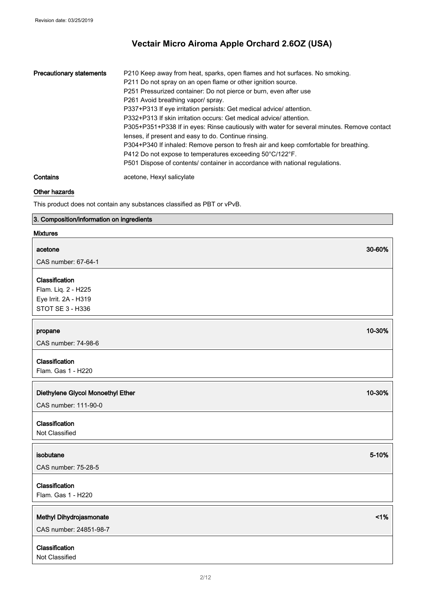| <b>Precautionary statements</b> | P210 Keep away from heat, sparks, open flames and hot surfaces. No smoking.<br>P211 Do not spray on an open flame or other ignition source.<br>P251 Pressurized container: Do not pierce or burn, even after use<br>P261 Avoid breathing vapor/spray.<br>P337+P313 If eye irritation persists: Get medical advice/attention.<br>P332+P313 If skin irritation occurs: Get medical advice/attention.<br>P305+P351+P338 If in eyes: Rinse cautiously with water for several minutes. Remove contact<br>lenses, if present and easy to do. Continue rinsing.<br>P304+P340 If inhaled: Remove person to fresh air and keep comfortable for breathing.<br>P412 Do not expose to temperatures exceeding 50°C/122°F.<br>P501 Dispose of contents/ container in accordance with national regulations. |
|---------------------------------|----------------------------------------------------------------------------------------------------------------------------------------------------------------------------------------------------------------------------------------------------------------------------------------------------------------------------------------------------------------------------------------------------------------------------------------------------------------------------------------------------------------------------------------------------------------------------------------------------------------------------------------------------------------------------------------------------------------------------------------------------------------------------------------------|
| Contains                        | acetone, Hexyl salicylate                                                                                                                                                                                                                                                                                                                                                                                                                                                                                                                                                                                                                                                                                                                                                                    |

## Other hazards

This product does not contain any substances classified as PBT or vPvB.

## 3. Composition/information on ingredients

## Mixtures

| acetone                           | 30-60% |
|-----------------------------------|--------|
| CAS number: 67-64-1               |        |
| Classification                    |        |
| Flam. Liq. 2 - H225               |        |
| Eye Irrit. 2A - H319              |        |
| STOT SE 3 - H336                  |        |
|                                   |        |
| propane                           | 10-30% |
| CAS number: 74-98-6               |        |
|                                   |        |
| Classification                    |        |
| Flam. Gas 1 - H220                |        |
|                                   |        |
| Diethylene Glycol Monoethyl Ether | 10-30% |
| CAS number: 111-90-0              |        |
| Classification                    |        |
| Not Classified                    |        |
|                                   |        |
| isobutane                         | 5-10%  |
| CAS number: 75-28-5               |        |
|                                   |        |
| Classification                    |        |
| Flam. Gas 1 - H220                |        |
|                                   |        |
| Methyl Dihydrojasmonate           | 1%     |
| CAS number: 24851-98-7            |        |
| Classification                    |        |
| Not Classified                    |        |
|                                   |        |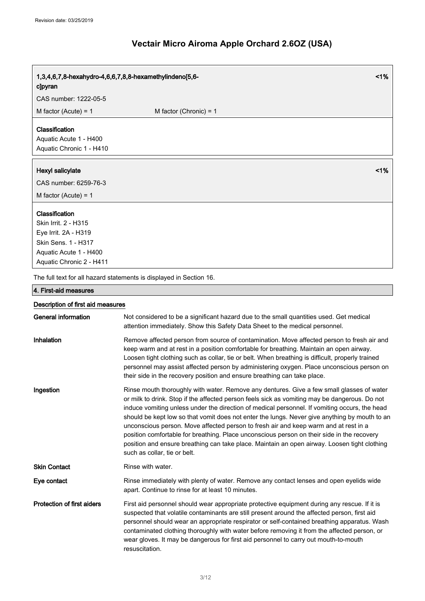| 1,3,4,6,7,8-hexahydro-4,6,6,7,8,8-hexamethylindeno[5,6-<br>clpyran                                                                          | 1%                                                                                                                                                                                                                                                                                                                                                                                                                                                                                                                                                                                                                                                                                                                 |
|---------------------------------------------------------------------------------------------------------------------------------------------|--------------------------------------------------------------------------------------------------------------------------------------------------------------------------------------------------------------------------------------------------------------------------------------------------------------------------------------------------------------------------------------------------------------------------------------------------------------------------------------------------------------------------------------------------------------------------------------------------------------------------------------------------------------------------------------------------------------------|
| CAS number: 1222-05-5                                                                                                                       |                                                                                                                                                                                                                                                                                                                                                                                                                                                                                                                                                                                                                                                                                                                    |
| M factor (Acute) = $1$                                                                                                                      | M factor (Chronic) = $1$                                                                                                                                                                                                                                                                                                                                                                                                                                                                                                                                                                                                                                                                                           |
| Classification<br>Aquatic Acute 1 - H400<br>Aquatic Chronic 1 - H410                                                                        |                                                                                                                                                                                                                                                                                                                                                                                                                                                                                                                                                                                                                                                                                                                    |
| Hexyl salicylate                                                                                                                            | 1%                                                                                                                                                                                                                                                                                                                                                                                                                                                                                                                                                                                                                                                                                                                 |
| CAS number: 6259-76-3                                                                                                                       |                                                                                                                                                                                                                                                                                                                                                                                                                                                                                                                                                                                                                                                                                                                    |
| M factor (Acute) = $1$                                                                                                                      |                                                                                                                                                                                                                                                                                                                                                                                                                                                                                                                                                                                                                                                                                                                    |
| Classification<br>Skin Irrit. 2 - H315<br>Eye Irrit. 2A - H319<br>Skin Sens. 1 - H317<br>Aquatic Acute 1 - H400<br>Aquatic Chronic 2 - H411 |                                                                                                                                                                                                                                                                                                                                                                                                                                                                                                                                                                                                                                                                                                                    |
|                                                                                                                                             | The full text for all hazard statements is displayed in Section 16.                                                                                                                                                                                                                                                                                                                                                                                                                                                                                                                                                                                                                                                |
| 4. First-aid measures                                                                                                                       |                                                                                                                                                                                                                                                                                                                                                                                                                                                                                                                                                                                                                                                                                                                    |
| Description of first aid measures                                                                                                           |                                                                                                                                                                                                                                                                                                                                                                                                                                                                                                                                                                                                                                                                                                                    |
| <b>General information</b>                                                                                                                  | Not considered to be a significant hazard due to the small quantities used. Get medical<br>attention immediately. Show this Safety Data Sheet to the medical personnel.                                                                                                                                                                                                                                                                                                                                                                                                                                                                                                                                            |
| Inhalation                                                                                                                                  | Remove affected person from source of contamination. Move affected person to fresh air and<br>keep warm and at rest in a position comfortable for breathing. Maintain an open airway.<br>Loosen tight clothing such as collar, tie or belt. When breathing is difficult, properly trained<br>personnel may assist affected person by administering oxygen. Place unconscious person on<br>their side in the recovery position and ensure breathing can take place.                                                                                                                                                                                                                                                 |
| Ingestion                                                                                                                                   | Rinse mouth thoroughly with water. Remove any dentures. Give a few small glasses of water<br>or milk to drink. Stop if the affected person feels sick as vomiting may be dangerous. Do not<br>induce vomiting unless under the direction of medical personnel. If vomiting occurs, the head<br>should be kept low so that vomit does not enter the lungs. Never give anything by mouth to an<br>unconscious person. Move affected person to fresh air and keep warm and at rest in a<br>position comfortable for breathing. Place unconscious person on their side in the recovery<br>position and ensure breathing can take place. Maintain an open airway. Loosen tight clothing<br>such as collar, tie or belt. |
| <b>Skin Contact</b>                                                                                                                         | Rinse with water.                                                                                                                                                                                                                                                                                                                                                                                                                                                                                                                                                                                                                                                                                                  |
| Eye contact                                                                                                                                 | Rinse immediately with plenty of water. Remove any contact lenses and open eyelids wide<br>apart. Continue to rinse for at least 10 minutes.                                                                                                                                                                                                                                                                                                                                                                                                                                                                                                                                                                       |
| <b>Protection of first aiders</b>                                                                                                           | First aid personnel should wear appropriate protective equipment during any rescue. If it is<br>suspected that volatile contaminants are still present around the affected person, first aid<br>personnel should wear an appropriate respirator or self-contained breathing apparatus. Wash<br>contaminated clothing thoroughly with water before removing it from the affected person, or<br>wear gloves. It may be dangerous for first aid personnel to carry out mouth-to-mouth<br>resuscitation.                                                                                                                                                                                                               |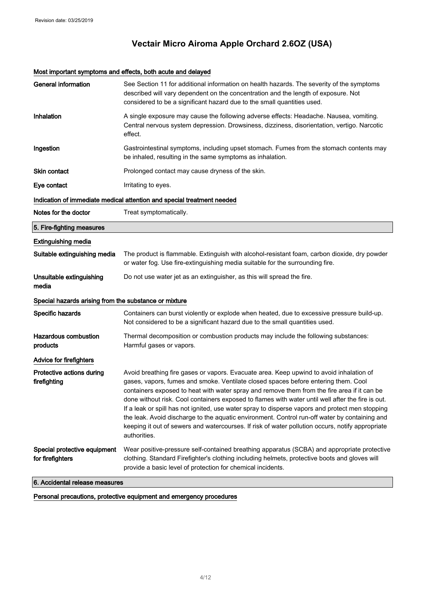## Most important symptoms and effects, both acute and delayed

| <b>General information</b>                            | See Section 11 for additional information on health hazards. The severity of the symptoms<br>described will vary dependent on the concentration and the length of exposure. Not<br>considered to be a significant hazard due to the small quantities used.                                                                                                                                                                                                                                                                                                                                                                                                                                                |  |
|-------------------------------------------------------|-----------------------------------------------------------------------------------------------------------------------------------------------------------------------------------------------------------------------------------------------------------------------------------------------------------------------------------------------------------------------------------------------------------------------------------------------------------------------------------------------------------------------------------------------------------------------------------------------------------------------------------------------------------------------------------------------------------|--|
| Inhalation                                            | A single exposure may cause the following adverse effects: Headache. Nausea, vomiting.<br>Central nervous system depression. Drowsiness, dizziness, disorientation, vertigo. Narcotic<br>effect.                                                                                                                                                                                                                                                                                                                                                                                                                                                                                                          |  |
| Ingestion                                             | Gastrointestinal symptoms, including upset stomach. Fumes from the stomach contents may<br>be inhaled, resulting in the same symptoms as inhalation.                                                                                                                                                                                                                                                                                                                                                                                                                                                                                                                                                      |  |
| <b>Skin contact</b>                                   | Prolonged contact may cause dryness of the skin.                                                                                                                                                                                                                                                                                                                                                                                                                                                                                                                                                                                                                                                          |  |
| Eye contact                                           | Irritating to eyes.                                                                                                                                                                                                                                                                                                                                                                                                                                                                                                                                                                                                                                                                                       |  |
|                                                       | Indication of immediate medical attention and special treatment needed                                                                                                                                                                                                                                                                                                                                                                                                                                                                                                                                                                                                                                    |  |
| Notes for the doctor                                  | Treat symptomatically.                                                                                                                                                                                                                                                                                                                                                                                                                                                                                                                                                                                                                                                                                    |  |
| 5. Fire-fighting measures                             |                                                                                                                                                                                                                                                                                                                                                                                                                                                                                                                                                                                                                                                                                                           |  |
| <b>Extinguishing media</b>                            |                                                                                                                                                                                                                                                                                                                                                                                                                                                                                                                                                                                                                                                                                                           |  |
| Suitable extinguishing media                          | The product is flammable. Extinguish with alcohol-resistant foam, carbon dioxide, dry powder<br>or water fog. Use fire-extinguishing media suitable for the surrounding fire.                                                                                                                                                                                                                                                                                                                                                                                                                                                                                                                             |  |
| Unsuitable extinguishing<br>media                     | Do not use water jet as an extinguisher, as this will spread the fire.                                                                                                                                                                                                                                                                                                                                                                                                                                                                                                                                                                                                                                    |  |
| Special hazards arising from the substance or mixture |                                                                                                                                                                                                                                                                                                                                                                                                                                                                                                                                                                                                                                                                                                           |  |
| Specific hazards                                      | Containers can burst violently or explode when heated, due to excessive pressure build-up.<br>Not considered to be a significant hazard due to the small quantities used.                                                                                                                                                                                                                                                                                                                                                                                                                                                                                                                                 |  |
| <b>Hazardous combustion</b><br>products               | Thermal decomposition or combustion products may include the following substances:<br>Harmful gases or vapors.                                                                                                                                                                                                                                                                                                                                                                                                                                                                                                                                                                                            |  |
| Advice for firefighters                               |                                                                                                                                                                                                                                                                                                                                                                                                                                                                                                                                                                                                                                                                                                           |  |
| Protective actions during<br>firefighting             | Avoid breathing fire gases or vapors. Evacuate area. Keep upwind to avoid inhalation of<br>gases, vapors, fumes and smoke. Ventilate closed spaces before entering them. Cool<br>containers exposed to heat with water spray and remove them from the fire area if it can be<br>done without risk. Cool containers exposed to flames with water until well after the fire is out.<br>If a leak or spill has not ignited, use water spray to disperse vapors and protect men stopping<br>the leak. Avoid discharge to the aquatic environment. Control run-off water by containing and<br>keeping it out of sewers and watercourses. If risk of water pollution occurs, notify appropriate<br>authorities. |  |
| Special protective equipment<br>for firefighters      | Wear positive-pressure self-contained breathing apparatus (SCBA) and appropriate protective<br>clothing. Standard Firefighter's clothing including helmets, protective boots and gloves will<br>provide a basic level of protection for chemical incidents.                                                                                                                                                                                                                                                                                                                                                                                                                                               |  |

6. Accidental release measures

Personal precautions, protective equipment and emergency procedures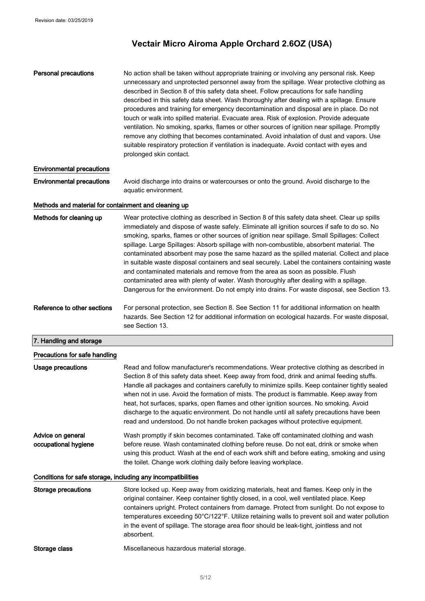| <b>Personal precautions</b> | No action shall be taken without appropriate training or involving any personal risk. Keep<br>unnecessary and unprotected personnel away from the spillage. Wear protective clothing as<br>described in Section 8 of this safety data sheet. Follow precautions for safe handling<br>described in this safety data sheet. Wash thoroughly after dealing with a spillage. Ensure<br>procedures and training for emergency decontamination and disposal are in place. Do not<br>touch or walk into spilled material. Evacuate area. Risk of explosion. Provide adequate<br>ventilation. No smoking, sparks, flames or other sources of ignition near spillage. Promptly<br>remove any clothing that becomes contaminated. Avoid inhalation of dust and vapors. Use<br>suitable respiratory protection if ventilation is inadequate. Avoid contact with eyes and<br>prolonged skin contact. |
|-----------------------------|------------------------------------------------------------------------------------------------------------------------------------------------------------------------------------------------------------------------------------------------------------------------------------------------------------------------------------------------------------------------------------------------------------------------------------------------------------------------------------------------------------------------------------------------------------------------------------------------------------------------------------------------------------------------------------------------------------------------------------------------------------------------------------------------------------------------------------------------------------------------------------------|
|-----------------------------|------------------------------------------------------------------------------------------------------------------------------------------------------------------------------------------------------------------------------------------------------------------------------------------------------------------------------------------------------------------------------------------------------------------------------------------------------------------------------------------------------------------------------------------------------------------------------------------------------------------------------------------------------------------------------------------------------------------------------------------------------------------------------------------------------------------------------------------------------------------------------------------|

## Environmental precautions

Environmental precautions Avoid discharge into drains or watercourses or onto the ground. Avoid discharge to the aquatic environment.

## Methods and material for containment and cleaning up

| Methods for cleaning up | Wear protective clothing as described in Section 8 of this safety data sheet. Clear up spills  |
|-------------------------|------------------------------------------------------------------------------------------------|
|                         | immediately and dispose of waste safely. Eliminate all ignition sources if safe to do so. No   |
|                         | smoking, sparks, flames or other sources of ignition near spillage. Small Spillages: Collect   |
|                         | spillage. Large Spillages: Absorb spillage with non-combustible, absorbent material. The       |
|                         | contaminated absorbent may pose the same hazard as the spilled material. Collect and place     |
|                         | in suitable waste disposal containers and seal securely. Label the containers containing waste |
|                         | and contaminated materials and remove from the area as soon as possible. Flush                 |
|                         | contaminated area with plenty of water. Wash thoroughly after dealing with a spillage.         |
|                         | Dangerous for the environment. Do not empty into drains. For waste disposal, see Section 13.   |
|                         |                                                                                                |

Reference to other sections For personal protection, see Section 8. See Section 11 for additional information on health hazards. See Section 12 for additional information on ecological hazards. For waste disposal, see Section 13.

| 7. Handling and storage |  |
|-------------------------|--|
|                         |  |

| Read and follow manufacturer's recommendations. Wear protective clothing as described in<br>Section 8 of this safety data sheet. Keep away from food, drink and animal feeding stuffs.<br>Handle all packages and containers carefully to minimize spills. Keep container tightly sealed<br>when not in use. Avoid the formation of mists. The product is flammable. Keep away from<br>heat, hot surfaces, sparks, open flames and other ignition sources. No smoking. Avoid<br>discharge to the aquatic environment. Do not handle until all safety precautions have been<br>read and understood. Do not handle broken packages without protective equipment. |
|----------------------------------------------------------------------------------------------------------------------------------------------------------------------------------------------------------------------------------------------------------------------------------------------------------------------------------------------------------------------------------------------------------------------------------------------------------------------------------------------------------------------------------------------------------------------------------------------------------------------------------------------------------------|
| Wash promptly if skin becomes contaminated. Take off contaminated clothing and wash<br>before reuse. Wash contaminated clothing before reuse. Do not eat, drink or smoke when<br>using this product. Wash at the end of each work shift and before eating, smoking and using<br>the toilet. Change work clothing daily before leaving workplace.                                                                                                                                                                                                                                                                                                               |
| Conditions for safe storage, including any incompatibilities                                                                                                                                                                                                                                                                                                                                                                                                                                                                                                                                                                                                   |
| Store locked up. Keep away from oxidizing materials, heat and flames. Keep only in the<br>original container. Keep container tightly closed, in a cool, well ventilated place. Keep<br>containers upright. Protect containers from damage. Protect from sunlight. Do not expose to<br>temperatures exceeding 50°C/122°F. Utilize retaining walls to prevent soil and water pollution<br>in the event of spillage. The storage area floor should be leak-tight, jointless and not<br>absorbent.                                                                                                                                                                 |
|                                                                                                                                                                                                                                                                                                                                                                                                                                                                                                                                                                                                                                                                |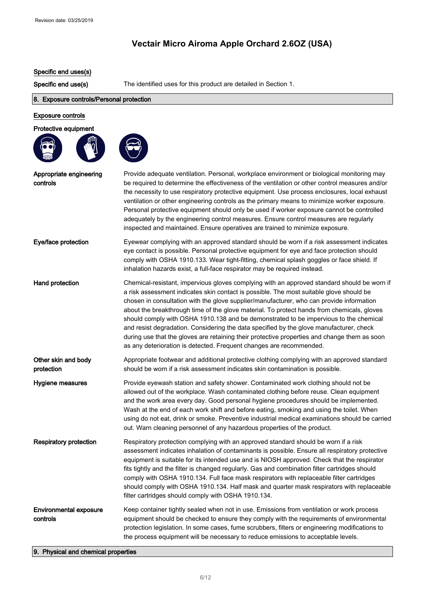## Specific end uses(s)

Specific end use(s) The identified uses for this product are detailed in Section 1.

## 8. Exposure controls/Personal protection

 $\bigodot$ 

## Exposure controls

#### Protective equipment



| Appropriate engineering<br>controls       | Provide adequate ventilation. Personal, workplace environment or biological monitoring may<br>be required to determine the effectiveness of the ventilation or other control measures and/or<br>the necessity to use respiratory protective equipment. Use process enclosures, local exhaust<br>ventilation or other engineering controls as the primary means to minimize worker exposure.<br>Personal protective equipment should only be used if worker exposure cannot be controlled<br>adequately by the engineering control measures. Ensure control measures are regularly<br>inspected and maintained. Ensure operatives are trained to minimize exposure.                                                                          |
|-------------------------------------------|---------------------------------------------------------------------------------------------------------------------------------------------------------------------------------------------------------------------------------------------------------------------------------------------------------------------------------------------------------------------------------------------------------------------------------------------------------------------------------------------------------------------------------------------------------------------------------------------------------------------------------------------------------------------------------------------------------------------------------------------|
| Eye/face protection                       | Eyewear complying with an approved standard should be worn if a risk assessment indicates<br>eye contact is possible. Personal protective equipment for eye and face protection should<br>comply with OSHA 1910.133. Wear tight-fitting, chemical splash goggles or face shield. If<br>inhalation hazards exist, a full-face respirator may be required instead.                                                                                                                                                                                                                                                                                                                                                                            |
| Hand protection                           | Chemical-resistant, impervious gloves complying with an approved standard should be worn if<br>a risk assessment indicates skin contact is possible. The most suitable glove should be<br>chosen in consultation with the glove supplier/manufacturer, who can provide information<br>about the breakthrough time of the glove material. To protect hands from chemicals, gloves<br>should comply with OSHA 1910.138 and be demonstrated to be impervious to the chemical<br>and resist degradation. Considering the data specified by the glove manufacturer, check<br>during use that the gloves are retaining their protective properties and change them as soon<br>as any deterioration is detected. Frequent changes are recommended. |
| Other skin and body<br>protection         | Appropriate footwear and additional protective clothing complying with an approved standard<br>should be worn if a risk assessment indicates skin contamination is possible.                                                                                                                                                                                                                                                                                                                                                                                                                                                                                                                                                                |
| Hygiene measures                          | Provide eyewash station and safety shower. Contaminated work clothing should not be<br>allowed out of the workplace. Wash contaminated clothing before reuse. Clean equipment<br>and the work area every day. Good personal hygiene procedures should be implemented.<br>Wash at the end of each work shift and before eating, smoking and using the toilet. When<br>using do not eat, drink or smoke. Preventive industrial medical examinations should be carried<br>out. Warn cleaning personnel of any hazardous properties of the product.                                                                                                                                                                                             |
| <b>Respiratory protection</b>             | Respiratory protection complying with an approved standard should be worn if a risk<br>assessment indicates inhalation of contaminants is possible. Ensure all respiratory protective<br>equipment is suitable for its intended use and is NIOSH approved. Check that the respirator<br>fits tightly and the filter is changed regularly. Gas and combination filter cartridges should<br>comply with OSHA 1910.134. Full face mask respirators with replaceable filter cartridges<br>should comply with OSHA 1910.134. Half mask and quarter mask respirators with replaceable<br>filter cartridges should comply with OSHA 1910.134.                                                                                                      |
| <b>Environmental exposure</b><br>controls | Keep container tightly sealed when not in use. Emissions from ventilation or work process<br>equipment should be checked to ensure they comply with the requirements of environmental<br>protection legislation. In some cases, fume scrubbers, filters or engineering modifications to<br>the process equipment will be necessary to reduce emissions to acceptable levels.                                                                                                                                                                                                                                                                                                                                                                |

## 9. Physical and chemical properties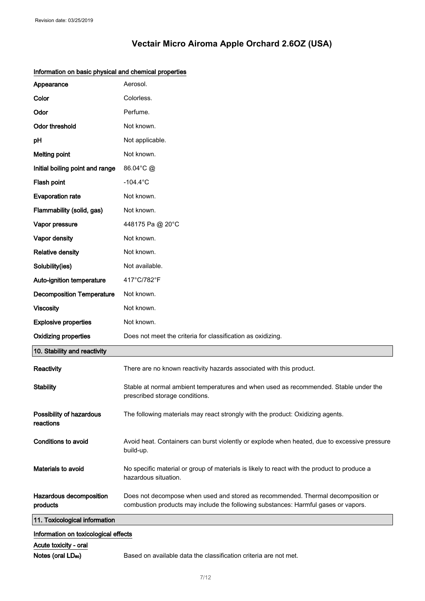| Appearance                            | Aerosol.                                                                                                                                                               |
|---------------------------------------|------------------------------------------------------------------------------------------------------------------------------------------------------------------------|
| Color                                 | Colorless.                                                                                                                                                             |
| Odor                                  | Perfume.                                                                                                                                                               |
| <b>Odor threshold</b>                 | Not known.                                                                                                                                                             |
| pH                                    | Not applicable.                                                                                                                                                        |
| <b>Melting point</b>                  | Not known.                                                                                                                                                             |
| Initial boiling point and range       | 86.04°C @                                                                                                                                                              |
| Flash point                           | $-104.4^{\circ}$ C                                                                                                                                                     |
| <b>Evaporation rate</b>               | Not known.                                                                                                                                                             |
| Flammability (solid, gas)             | Not known.                                                                                                                                                             |
| Vapor pressure                        | 448175 Pa @ 20°C                                                                                                                                                       |
| Vapor density                         | Not known.                                                                                                                                                             |
| <b>Relative density</b>               | Not known.                                                                                                                                                             |
| Solubility(ies)                       | Not available.                                                                                                                                                         |
| Auto-ignition temperature             | 417°C/782°F                                                                                                                                                            |
| <b>Decomposition Temperature</b>      | Not known.                                                                                                                                                             |
| <b>Viscosity</b>                      | Not known.                                                                                                                                                             |
| <b>Explosive properties</b>           | Not known.                                                                                                                                                             |
| <b>Oxidizing properties</b>           | Does not meet the criteria for classification as oxidizing.                                                                                                            |
| 10. Stability and reactivity          |                                                                                                                                                                        |
| Reactivity                            | There are no known reactivity hazards associated with this product.                                                                                                    |
| <b>Stability</b>                      | Stable at normal ambient temperatures and when used as recommended. Stable under the<br>prescribed storage conditions.                                                 |
| Possibility of hazardous<br>reactions | The following materials may react strongly with the product: Oxidizing agents.                                                                                         |
| Conditions to avoid                   | Avoid heat. Containers can burst violently or explode when heated, due to excessive pressure<br>build-up.                                                              |
| Materials to avoid                    | No specific material or group of materials is likely to react with the product to produce a<br>hazardous situation.                                                    |
| Hazardous decomposition<br>products   | Does not decompose when used and stored as recommended. Thermal decomposition or<br>combustion products may include the following substances: Harmful gases or vapors. |
| 11. Toxicological information         |                                                                                                                                                                        |
| Information on toxicological effects  |                                                                                                                                                                        |
| Acute toxicity - oral                 |                                                                                                                                                                        |

## Information on basic physical and chemical properties

Notes (oral LD<sub>so</sub>) Based on available data the classification criteria are not met.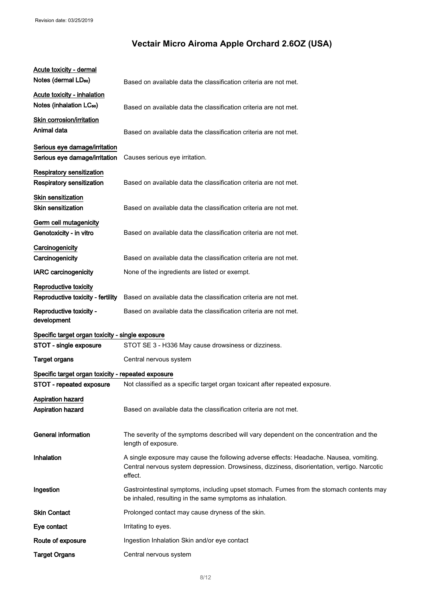| Acute toxicity - dermal                                                    |                                                                                                                                                                                                  |
|----------------------------------------------------------------------------|--------------------------------------------------------------------------------------------------------------------------------------------------------------------------------------------------|
| Notes (dermal LD <sub>50</sub> )                                           | Based on available data the classification criteria are not met.                                                                                                                                 |
| <b>Acute toxicity - inhalation</b><br>Notes (inhalation LC <sub>50</sub> ) | Based on available data the classification criteria are not met.                                                                                                                                 |
| <b>Skin corrosion/irritation</b><br>Animal data                            | Based on available data the classification criteria are not met.                                                                                                                                 |
| Serious eye damage/irritation<br>Serious eye damage/irritation             | Causes serious eye irritation.                                                                                                                                                                   |
| <b>Respiratory sensitization</b><br>Respiratory sensitization              | Based on available data the classification criteria are not met.                                                                                                                                 |
| <b>Skin sensitization</b><br><b>Skin sensitization</b>                     | Based on available data the classification criteria are not met.                                                                                                                                 |
| Germ cell mutagenicity<br>Genotoxicity - in vitro                          | Based on available data the classification criteria are not met.                                                                                                                                 |
| Carcinogenicity<br>Carcinogenicity                                         | Based on available data the classification criteria are not met.                                                                                                                                 |
| <b>IARC carcinogenicity</b>                                                | None of the ingredients are listed or exempt.                                                                                                                                                    |
| Reproductive toxicity<br>Reproductive toxicity - fertility                 | Based on available data the classification criteria are not met.                                                                                                                                 |
| Reproductive toxicity -<br>development                                     | Based on available data the classification criteria are not met.                                                                                                                                 |
| Specific target organ toxicity - single exposure                           |                                                                                                                                                                                                  |
| STOT - single exposure                                                     | STOT SE 3 - H336 May cause drowsiness or dizziness.                                                                                                                                              |
| <b>Target organs</b>                                                       | Central nervous system                                                                                                                                                                           |
| Specific target organ toxicity - repeated exposure                         |                                                                                                                                                                                                  |
| STOT - repeated exposure                                                   | Not classified as a specific target organ toxicant after repeated exposure.                                                                                                                      |
| <b>Aspiration hazard</b><br>Aspiration hazard                              | Based on available data the classification criteria are not met.                                                                                                                                 |
| <b>General information</b>                                                 | The severity of the symptoms described will vary dependent on the concentration and the<br>length of exposure.                                                                                   |
| Inhalation                                                                 | A single exposure may cause the following adverse effects: Headache. Nausea, vomiting.<br>Central nervous system depression. Drowsiness, dizziness, disorientation, vertigo. Narcotic<br>effect. |
| Ingestion                                                                  | Gastrointestinal symptoms, including upset stomach. Fumes from the stomach contents may<br>be inhaled, resulting in the same symptoms as inhalation.                                             |
| <b>Skin Contact</b>                                                        | Prolonged contact may cause dryness of the skin.                                                                                                                                                 |
| Eye contact                                                                | Irritating to eyes.                                                                                                                                                                              |
| Route of exposure                                                          | Ingestion Inhalation Skin and/or eye contact                                                                                                                                                     |
| <b>Target Organs</b>                                                       | Central nervous system                                                                                                                                                                           |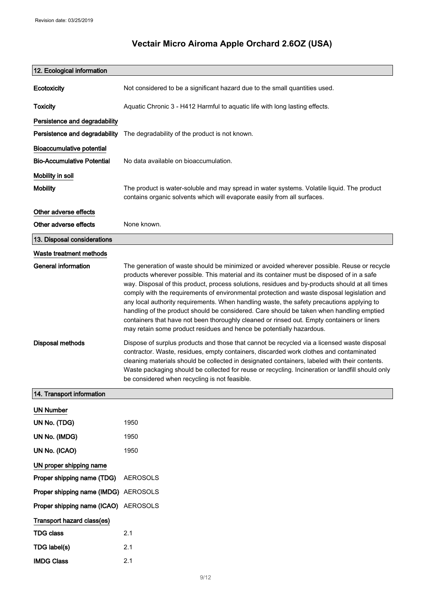# 12. Ecological information Ecotoxicity Not considered to be a significant hazard due to the small quantities used. Toxicity **Aquatic Chronic 3 - H412 Harmful to aquatic life with long lasting effects.** Persistence and degradability Persistence and degradability The degradability of the product is not known. Bioaccumulative potential Bio-Accumulative Potential No data available on bioaccumulation. Mobility in soil Mobility The product is water-soluble and may spread in water systems. Volatile liquid. The product contains organic solvents which will evaporate easily from all surfaces. Other adverse effects Other adverse effects None known. 13. Disposal considerations Waste treatment methods General information The generation of waste should be minimized or avoided wherever possible. Reuse or recycle products wherever possible. This material and its container must be disposed of in a safe way. Disposal of this product, process solutions, residues and by-products should at all times comply with the requirements of environmental protection and waste disposal legislation and any local authority requirements. When handling waste, the safety precautions applying to handling of the product should be considered. Care should be taken when handling emptied containers that have not been thoroughly cleaned or rinsed out. Empty containers or liners may retain some product residues and hence be potentially hazardous. Disposal methods Dispose of surplus products and those that cannot be recycled via a licensed waste disposal contractor. Waste, residues, empty containers, discarded work clothes and contaminated cleaning materials should be collected in designated containers, labeled with their contents. Waste packaging should be collected for reuse or recycling. Incineration or landfill should only be considered when recycling is not feasible. 14. Transport information UN Number UN No. (TDG) 1950 UN No. (IMDG) 1950 UN No. (ICAO) 1950 UN proper shipping name Proper shipping name (TDG) AEROSOLS Proper shipping name (IMDG) AEROSOLS Proper shipping name (ICAO) AEROSOLS Transport hazard class(es) TDG class 2.1 TDG label(s) 2.1 IMDG Class 2.1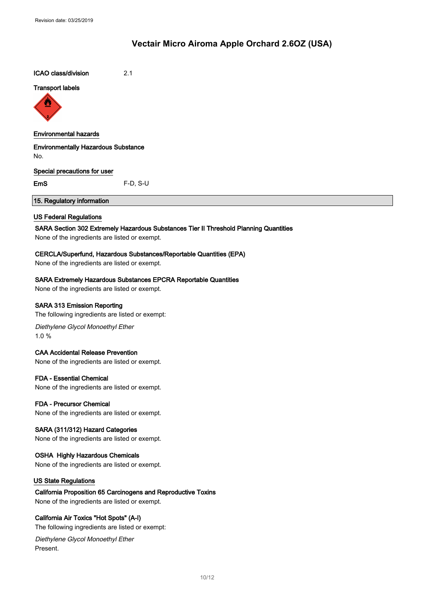ICAO class/division 2.1

#### Transport labels



#### Environmental hazards

Environmentally Hazardous Substance No.

#### Special precautions for user

EmS F-D, S-U

## 15. Regulatory information

#### US Federal Regulations

#### SARA Section 302 Extremely Hazardous Substances Tier II Threshold Planning Quantities

None of the ingredients are listed or exempt.

#### CERCLA/Superfund, Hazardous Substances/Reportable Quantities (EPA)

None of the ingredients are listed or exempt.

#### SARA Extremely Hazardous Substances EPCRA Reportable Quantities

None of the ingredients are listed or exempt.

#### SARA 313 Emission Reporting

The following ingredients are listed or exempt:

Diethylene Glycol Monoethyl Ether 1.0 %

#### CAA Accidental Release Prevention

None of the ingredients are listed or exempt.

#### FDA - Essential Chemical

None of the ingredients are listed or exempt.

#### FDA - Precursor Chemical

None of the ingredients are listed or exempt.

### SARA (311/312) Hazard Categories

None of the ingredients are listed or exempt.

#### OSHA Highly Hazardous Chemicals

None of the ingredients are listed or exempt.

#### US State Regulations

#### California Proposition 65 Carcinogens and Reproductive Toxins

None of the ingredients are listed or exempt.

#### California Air Toxics "Hot Spots" (A-I)

The following ingredients are listed or exempt:

Diethylene Glycol Monoethyl Ether Present.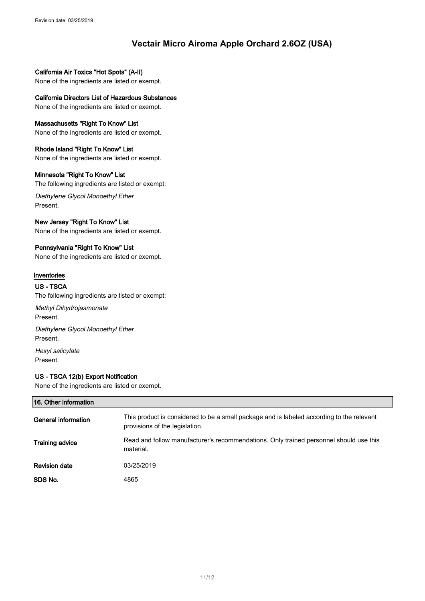California Air Toxics "Hot Spots" (A-II) None of the ingredients are listed or exempt.

California Directors List of Hazardous Substances None of the ingredients are listed or exempt.

Massachusetts "Right To Know" List None of the ingredients are listed or exempt.

Rhode Island "Right To Know" List None of the ingredients are listed or exempt.

## Minnesota "Right To Know" List

The following ingredients are listed or exempt:

Diethylene Glycol Monoethyl Ether Present.

### New Jersey "Right To Know" List

None of the ingredients are listed or exempt.

## Pennsylvania "Right To Know" List

None of the ingredients are listed or exempt.

### Inventories

#### US - TSCA

The following ingredients are listed or exempt:

Methyl Dihydrojasmonate Present.

Diethylene Glycol Monoethyl Ether Present.

Hexyl salicylate Present.

## US - TSCA 12(b) Export Notification

None of the ingredients are listed or exempt.

| 16. Other information  |                                                                                                                             |  |
|------------------------|-----------------------------------------------------------------------------------------------------------------------------|--|
| General information    | This product is considered to be a small package and is labeled according to the relevant<br>provisions of the legislation. |  |
| <b>Training advice</b> | Read and follow manufacturer's recommendations. Only trained personnel should use this<br>material.                         |  |
| <b>Revision date</b>   | 03/25/2019                                                                                                                  |  |
| SDS No.                | 4865                                                                                                                        |  |